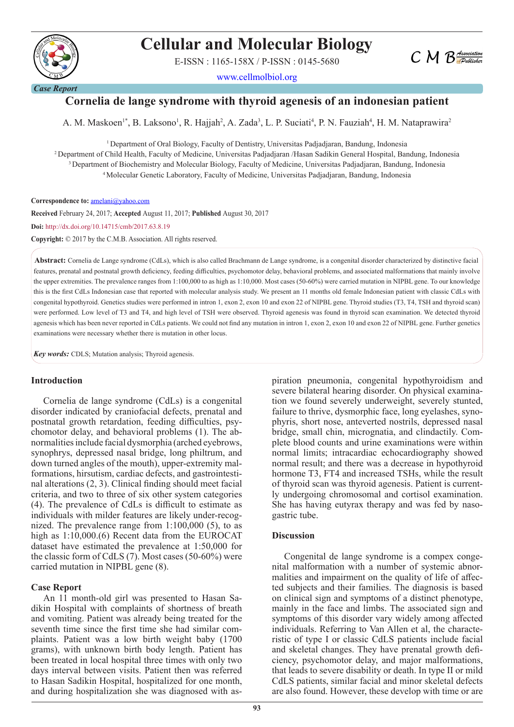

# **Cellular and Molecular Biology**

E-ISSN : 1165-158X / P-ISSN : 0145-5680

www.cellmolbiol.org

# **Cornelia de lange syndrome with thyroid agenesis of an indonesian patient**

A. M. Maskoen<sup>1\*</sup>, B. Laksono<sup>1</sup>, R. Hajjah<sup>2</sup>, A. Zada<sup>3</sup>, L. P. Suciati<sup>4</sup>, P. N. Fauziah<sup>4</sup>, H. M. Nataprawira<sup>2</sup>

<sup>1</sup> Department of Oral Biology, Faculty of Dentistry, Universitas Padjadjaran, Bandung, Indonesia 2 Department of Child Health, Faculty of Medicine, Universitas Padjadjaran /Hasan Sadikin General Hospital, Bandung, Indonesia <sup>3</sup> Department of Biochemistry and Molecular Biology, Faculty of Medicine, Universitas Padjadjaran, Bandung, Indonesia 4 Molecular Genetic Laboratory, Faculty of Medicine, Universitas Padjadjaran, Bandung, Indonesia

Correspondence to: **amelani@yahoo.com** 

**Received** February 24, 2017; **Accepted** August 11, 2017; **Published** August 30, 2017 **Doi:** http://dx.doi.org/10.14715/cmb/2017.63.8.19

**Copyright:** © 2017 by the C.M.B. Association. All rights reserved.

**Abstract:** Cornelia de Lange syndrome (CdLs), which is also called Brachmann de Lange syndrome, is a congenital disorder characterized by distinctive facial features, prenatal and postnatal growth deficiency, feeding difficulties, psychomotor delay, behavioral problems, and associated malformations that mainly involve the upper extremities. The prevalence ranges from 1:100,000 to as high as 1:10,000. Most cases (50-60%) were carried mutation in NIPBL gene. To our knowledge this is the first CdLs Indonesian case that reported with molecular analysis study. We present an 11 months old female Indonesian patient with classic CdLs with congenital hypothyroid. Genetics studies were performed in intron 1, exon 2, exon 10 and exon 22 of NIPBL gene. Thyroid studies (T3, T4, TSH and thyroid scan) were performed. Low level of T3 and T4, and high level of TSH were observed. Thyroid agenesis was found in thyroid scan examination. We detected thyroid agenesis which has been never reported in CdLs patients. We could not find any mutation in intron 1, exon 2, exon 10 and exon 22 of NIPBL gene. Further genetics examinations were necessary whether there is mutation in other locus.

*Key words:* CDLS; Mutation analysis; Thyroid agenesis.

#### **Introduction**

Cornelia de lange syndrome (CdLs) is a congenital disorder indicated by craniofacial defects, prenatal and postnatal growth retardation, feeding difficulties, psychomotor delay, and behavioral problems (1). The abnormalities include facial dysmorphia (arched eyebrows, synophrys, depressed nasal bridge, long philtrum, and down turned angles of the mouth), upper-extremity malformations, hirsutism, cardiac defects, and gastrointestinal alterations (2, 3). Clinical finding should meet facial criteria, and two to three of six other system categories (4). The prevalence of CdLs is difficult to estimate as individuals with milder features are likely under-recognized. The prevalence range from 1:100,000 (5), to as high as 1:10,000.(6) Recent data from the EUROCAT dataset have estimated the prevalence at 1:50,000 for the classic form of CdLS (7). Most cases (50-60%) were carried mutation in NIPBL gene (8).

#### **Case Report**

An 11 month-old girl was presented to Hasan Sadikin Hospital with complaints of shortness of breath and vomiting. Patient was already being treated for the seventh time since the first time she had similar complaints. Patient was a low birth weight baby (1700 grams), with unknown birth body length. Patient has been treated in local hospital three times with only two days interval between visits. Patient then was referred to Hasan Sadikin Hospital, hospitalized for one month, and during hospitalization she was diagnosed with aspiration pneumonia, congenital hypothyroidism and severe bilateral hearing disorder. On physical examination we found severely underweight, severely stunted, failure to thrive, dysmorphic face, long eyelashes, synophyris, short nose, anteverted nostrils, depressed nasal bridge, small chin, micrognatia, and clindactily. Complete blood counts and urine examinations were within normal limits; intracardiac echocardiography showed normal result; and there was a decrease in hypothyroid hormone T3, FT4 and increased TSHs, while the result of thyroid scan was thyroid agenesis. Patient is currently undergoing chromosomal and cortisol examination. She has having eutyrax therapy and was fed by nasogastric tube.

 $C M B$  *Association* 

#### **Discussion**

Congenital de lange syndrome is a compex congenital malformation with a number of systemic abnormalities and impairment on the quality of life of affected subjects and their families. The diagnosis is based on clinical sign and symptoms of a distinct phenotype, mainly in the face and limbs. The associated sign and symptoms of this disorder vary widely among affected individuals. Referring to Van Allen et al, the characteristic of type I or classic CdLS patients include facial and skeletal changes. They have prenatal growth deficiency, psychomotor delay, and major malformations, that leads to severe disability or death. In type II or mild CdLS patients, similar facial and minor skeletal defects are also found. However, these develop with time or are